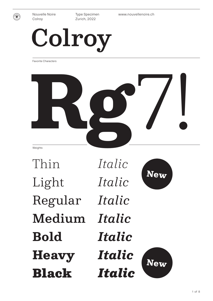

Type Specimen Zurich, 2022

Nouvelle Noire www.nouvellenoire.ch

# Colroy

Favorite Characters



Thin Light Regular Medium **Bold Heavy** Black

*Italic Italic Italic Italic Italic Italic Italic*



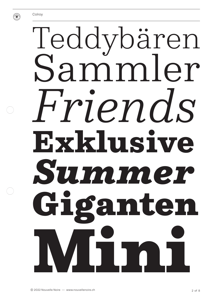

# Teddybären<br>Sammler Friends Exklusive Summer iganten ITIT O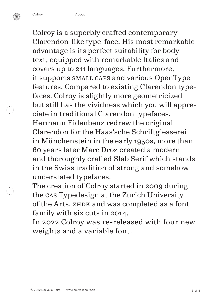Colroy is a superbly crafted contemporary Clarendon-like type-face. His most remarkable advantage is its perfect suitability for body text, equipped with remarkable Italics and covers up to 211 languages. Furthermore, it supports Small Caps and various OpenType features. Compared to existing Clarendon typefaces, Colroy is slightly more geometricized but still has the vividness which you will appreciate in traditional Clarendon typefaces. Hermann Eidenbenz redrew the original Clarendon for the Haas'sche Schriftgiesserei in Münchenstein in the early 1950s, more than 60 years later Marc Droz created a modern and thoroughly crafted Slab Serif which stands in the Swiss tradition of strong and somehow understated typefaces.

The creation of Colroy started in 2009 during the CAS Typedesign at the Zurich University of the Arts, ZHDK and was completed as a font family with six cuts in 2014.

In 2022 Colroy was re-released with four new weights and a variable font.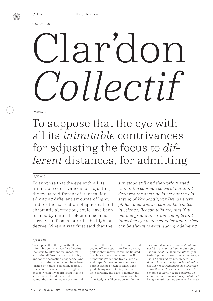

Thin, Thin Italic

120/106 –40

# ardo *Collectif*

#### 32/36.4 0

To suppose that the eye with all its *inimitable* contrivances for adjusting the focus to *different* distances, for admitting

#### 12/15 +20

To suppose that the eye with all its inimitable contrivances for adjusting the focus to different distances, for admitting different amounts of light, and for the correction of spherical and chromatic aberration, could have been formed by natural selection, seems, I freely confess, absurd in the highest degree. When it was first said that the

*sun stood still and the world turned round, the common sense of mankind declared the doctrine false; but the old saying of Vox populi, vox Dei, as every philosopher knows, cannot be trusted in science. Reason tells me, that if numerous gradations from a simple and imperfect eye to one complex and perfect can be shown to exist, each grade* being

#### $8/9.6 + 30$

To suppose that the eye with all its inimitable contrivances for adjusting the focus to different distances, for admitting different amounts of light, and for the correction of spherical and chromatic aberration, could have been formed by natural selection, seems, I freely confess, absurd in the highest degree. When it was first said that the sun stood still and the world turned round, the common sense of mankind

declared the doctrine false; but the old saying of Vox populi, vox Dei, as every philosopher knows, cannot be trusted in science. Reason tells me, that if numerous gradations from a simple and imperfect eye to one complex and perfect can be shown to exist, each grade being useful to its possessor, as is certainly the case; if further, the eye ever varies and the variations be inherited, as is likewise certainly the

*case; and if such variations should be useful to any animal under changing conditions of life, then the difficulty of believing that a perfect and complex eye could be formed by natural selection, though insuperable by our imagination, should not be considered as subversive of the theory. How a nerve comes to be sensitive to light, hardly concerns us more than how life itself originated; but I may remark that, as some of the lowest*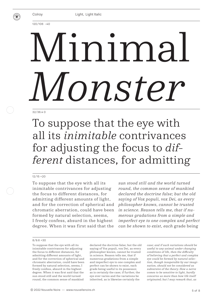

Light, Light Italic

120/106 –40

# Minimal *Monster*

#### 32/36.4 0

To suppose that the eye with all its *inimitable* contrivances for adjusting the focus to *different* distances, for admitting

#### 12/15 +20

To suppose that the eye with all its inimitable contrivances for adjusting the focus to different distances, for admitting different amounts of light, and for the correction of spherical and chromatic aberration, could have been formed by natural selection, seems, I freely confess, absurd in the highest degree. When it was first said that the

*sun stood still and the world turned round, the common sense of mankind declared the doctrine false; but the old saying of Vox populi, vox Dei, as every philosopher knows, cannot be trusted in science. Reason tells me, that if numerous gradations from a simple and imperfect eye to one complex and perfect can be shown to exist, each* grade being

#### $8/9.6 + 30$

To suppose that the eye with all its inimitable contrivances for adjusting the focus to different distances, for admitting different amounts of light, and for the correction of spherical and chromatic aberration, could have been formed by natural selection, seems, I freely confess, absurd in the highest degree. When it was first said that the sun stood still and the world turned round, the common sense of mankind

declared the doctrine false; but the old saying of Vox populi, vox Dei, as every philosopher knows, cannot be trusted in science. Reason tells me, that if numerous gradations from a simple and imperfect eye to one complex and perfect can be shown to exist, each grade being useful to its possessor, as is certainly the case; if further, the eye ever varies and the variations be inherited, as is likewise certainly the

*case; and if such variations should be useful to any animal under changing conditions of life, then the difficulty of believing that a perfect and complex eye could be formed by natural selection, though insuperable by our imagination, should not be considered as subversive of the theory. How a nerve comes to be sensitive to light, hardly concerns us more than how life itself originated; but I may remark that, as*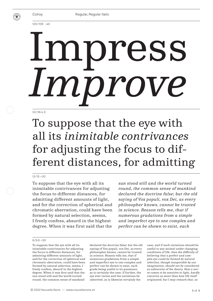

120/106 –40

# Impress *Improve*

#### 32/36.4 0

## To suppose that the eye with all its *inimitable contrivances* for adjusting the focus to different distances, for admitting

#### 12/15 +20

To suppose that the eye with all its inimitable contrivances for adjusting the focus to different distances, for admitting different amounts of light, and for the correction of spherical and chromatic aberration, could have been formed by natural selection, seems, I freely confess, absurd in the highest degree. When it was first said that the

*sun stood still and the world turned round, the common sense of mankind declared the doctrine false; but the old saying of Vox populi, vox Dei, as every philosopher knows, cannot be trusted in science. Reason tells me, that if numerous gradations from a simple and imperfect eye to one complex and perfect can be shown to exist, each* 

#### $8/9.6 + 30$

To suppose that the eye with all its inimitable contrivances for adjusting the focus to different distances, for admitting different amounts of light, and for the correction of spherical and chromatic aberration, could have been formed by natural selection, seems, I freely confess, absurd in the highest degree. When it was first said that the sun stood still and the world turned round, the common sense of mankind

declared the doctrine false; but the old saying of Vox populi, vox Dei, as every philosopher knows, cannot be trusted in science. Reason tells me, that if numerous gradations from a simple and imperfect eye to one complex and perfect can be shown to exist, each grade being useful to its possessor, as is certainly the case; if further, the eye ever varies and the variations be inherited, as is likewise certainly the

case; and if such variations should be useful to any animal under changing *conditions of life, then the difficulty of believing that a perfect and complex eye could be formed by natural selection, though insuperable by our imagination, should not be considered as subversive of the theory. How a nerve comes to be sensitive to light, hardly concerns us more than how life itself originated; but I may remark that, as*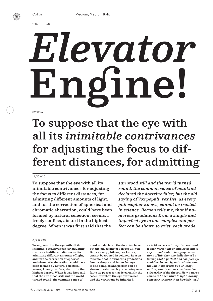

120/106 –40

# 32/36.4 0 *Elevator* Engine!

## To suppose that the eye with all its *inimitable contrivances* for adjusting the focus to different distances, for admitting

#### 12/15 +20

To suppose that the eye with all its inimitable contrivances for adjusting the focus to different distances, for admitting different amounts of light, and for the correction of spherical and chromatic aberration, could have been formed by natural selection, seems, I freely confess, absurd in the highest degree. When it was first said that the

*sun stood still and the world turned round, the common sense of mankind declared the doctrine false; but the old saying of Vox populi, vox Dei, as every philosopher knows, cannot be trusted in science. Reason tells me, that if numerous gradations from a simple and imperfect eye to one complex and perfect can be shown to exist, each grade* 

#### 8/9.6 +30

To suppose that the eye with all its inimitable contrivances for adjusting the focus to different distances, for admitting different amounts of light, and for the correction of spherical and chromatic aberration, could have been formed by natural selection, seems, I freely confess, absurd in the highest degree. When it was first said that the sun stood still and the world turned round, the common sense of

mankind declared the doctrine false; but the old saying of Vox populi, vox Dei, as every philosopher knows, cannot be trusted in science. Reason tells me, that if numerous gradations from a simple and imperfect eye to one complex and perfect can be shown to exist, each grade being useful to its possessor, as is certainly the case; if further, the eye ever varies and the variations be inherited,

*as is likewise certainly the case; and if such variations should be useful to any animal under changing conditions of life, then the difficulty of believing that a perfect and complex eye could be formed by natural selection, though insuperable by our imagination, should not be considered as subversive of the theory. How a nerve comes to be sensitive to light, hardly concerns us more than how life itself*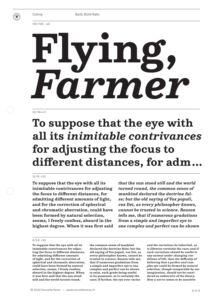

120/106 –40

# **Flying,**  *Farmer*

#### 32/36.4 0

## **To suppose that the eye with all its** *inimitable contrivances* **for adjusting the focus to different distances, for adm …**

#### 12/15 +20

**To suppose that the eye with all its inimitable contrivances for adjusting the focus to different distances, for admitting different amounts of light, and for the correction of spherical and chromatic aberration, could have been formed by natural selection, seems, I freely confess, absurd in the highest degree. When it was first said** 

*that the sun stood still and the world turned round, the common sense of mankind declared the doctrine false; but the old saying of Vox populi, vox Dei, as every philosopher knows, cannot be trusted in science. Reason tells me, that if numerous gradations from a simple and imperfect eye to one complex and perfect can be shown* 

#### $8/9.6 + 30$

**To suppose that the eye with all its inimitable contrivances for adjusting the focus to different distances, for admitting different amounts of light, and for the correction of spherical and chromatic aberration, could have been formed by natural selection, seems, I freely confess, absurd in the highest degree. When it was first said that the sun stood still and the world turned round,** 

**the common sense of mankind declared the doctrine false; but the old saying of Vox populi, vox Dei, as every philosopher knows, cannot be trusted in science. Reason tells me, that if numerous gradations from a simple and imperfect eye to one complex and perfect can be shown to exist, each grade being useful to its possessor, as is certainly the case; if further, the eye ever varies** 

*and the variations be inherited, as is likewise certainly the case; and if such variations should be useful to any animal under changing conditions of life, then the difficulty of believing that a perfect and complex eye could be formed by natural selection, though insuperable by our imagination, should not be considered as subversive of the theory. How a nerve comes to be sensitive*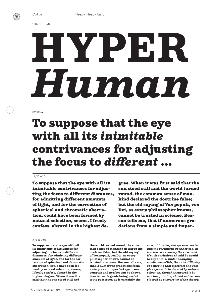

Heavy, Heavy Italic

120/106 –40

# HYPER *Human*

#### 32/36.4 0

## To suppose that the eye with all its *inimitable* contrivances for adjusting the focus to *different* ...

#### 12/15 +20

To suppose that the eye with all its inimitable contrivances for adjusting the focus to different distances, for admitting different amounts of light, and for the correction of spherical and chromatic aberration, could have been formed by natural selection, seems, I freely confess, absurd in the highest degree. When it was first said that the sun stood still and the world turned round, the common sense of mankind declared the doctrine false; but the old saying of Vox populi, vox Dei, as every philosopher knows, cannot be trusted in science. Reason tells me, that if numerous gradations from a simple and imper-

#### $8/9.6 + 30$

To suppose that the eye with all its inimitable contrivances for adjusting the focus to different distances, for admitting different amounts of light, and for the correction of spherical and chromatic aberration, could have been formed by natural selection, seems, I freely confess, absurd in the highest degree. When it was first said that the sun stood still and

the world turned round, the common sense of mankind declared the doctrine false; but the old saying of Vox populi, vox Dei, as every philosopher knows, cannot be trusted in science. Reason tells me, that if numerous gradations from a simple and imperfect eye to one complex and perfect can be shown to exist, each grade being useful to its possessor, as is certainly the

*case; if further, the eye ever varies and the variations be inherited, as is likewise certainly the case; and if such variations should be useful to any animal under changing conditions of life, then the difficulty of believing that a perfect and complex eye could be formed by natural selection, though insuperable by our imagination, should not be considered as subversive of the theory.*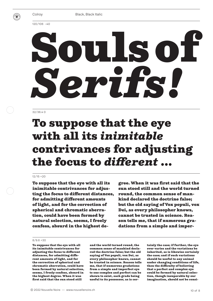

Black, Black Italic

120/106 –40

# Souls of *Serifs!*

#### 32/36.4 0

## To suppose that the eye with all its *inimitable* contrivances for adjusting the focus to *different* ...

#### 12/15 +20

To suppose that the eye with all its inimitable contrivances for adjusting the focus to different distances, for admitting different amounts of light, and for the correction of spherical and chromatic aberration, could have been formed by natural selection, seems, I freely confess, absurd in the highest degree. When it was first said that the sun stood still and the world turned round, the common sense of mankind declared the doctrine false; but the old saying of Vox populi, vox Dei, as every philosopher knows, cannot be trusted in science. Reason tells me, that if numerous gradations from a simple and imper-

#### $8/9.6 + 30$

To suppose that the eye with all its inimitable contrivances for adjusting the focus to different distances, for admitting different amounts of light, and for the correction of spherical and chromatic aberration, could have been formed by natural selection, seems, I freely confess, absurd in the highest degree. When it was first said that the sun stood still

and the world turned round, the common sense of mankind declared the doctrine false; but the old saying of Vox populi, vox Dei, as every philosopher knows, cannot be trusted in science. Reason tells me, that if numerous gradations from a simple and imperfect eye to one complex and perfect can be shown to exist, each grade being useful to its possessor, as is certainly the case; if further, the eye ever varies and the variations be inherited, as is likewise certainly the case; and if such variations should be useful to any animal under changing conditions of life, then the difficulty of believing that a perfect and complex eye could be formed by natural selection, though insuperable by our imagination, should not be consi-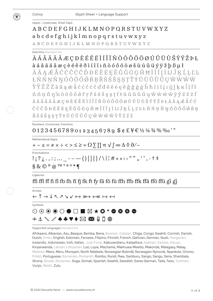

Upper-, Lowercase, Small Caps

### ABCDEFGHIJKLMNOPQRSTUVWXYZ abcdefghijklmnopqrstuvwxyz

**ABCDEFGHIJKLMNOPQRSTUVWXYZ** 

**Diacritics Standard Set** 

### *AÁÂÃÄÅÆÇĐÈÉÊËÌÍÎÏÑÒÓÔÕØÚÛÜÙŠÝŸŽÞŁ* à á â ã ä å æ ç è é ê ë ð ì í î ï ı ñ ò ó ô õ ö ø š ù ú û ü ý ÿ ž þ ß µ ł

Ā Ă Ą Æ Á Ć Ć Ĉ Č Č Ď Đ Ē Ĕ Ė Ę Ě Ĝ Ğ Ġ Ģ Ĥ Ħ Ĩ Ī Ĭ Į İ IJ Ĵ Ķ Ĺ Ļ Ľ Ŀ ŁŃŃNŇNÓŌŎŐŐŔRŘŚŚŜŞŞTŤŦŨŪŬŮŮŲŴŴŴŴ ŶŶŹŹŻā ă ą é å ć ć ĉ ċ č ď đ ē ĕ ė ę ě ĝ ğ ġ ģ ĥ ћ ĩ ī ĭ j ı ij ĵ ķ к ĺ ļ ľ ŀ n n n n n n o o o o o o r r r s s s s s t t t u u u u u w w w w y y z z z f *AAAAAA ECDEEEEIÍÎI NOOOOOÚÛÜÙŠÝŸŽPŁAAA EACC*  $\hat{C} \; \dot{C} \; \check{C} \; \check{D} \; D \; \bar{E} \; \check{E} \; \dot{E} \; \dot{E} \; \hat{G} \; \dot{G} \; \dot{G} \; \dot{G} \; \hat{H} \; H \; \tilde{I} \; \tilde{I} \; I \; I \; I \; J \; \hat{J} \; K \; \tilde{L} \; L \; L \; L \; \acute{N} \; \acute{N} \; N \; \check{N} \; N \; \acute{O} \; \tilde{O} \; \tilde{O} \; \tilde{O} \; \tilde{O} \; \til$  $\check{\mathtt{R}}\check{\mathtt{S}}\check{\mathtt{S}}\check{\mathtt{S}}\mathtt{S}\mathtt{S}\mathtt{S}\mathtt{T}\check{\mathtt{T}}\mathtt{T}\tilde{\mathtt{U}}\check{\mathtt{U}}\check{\mathtt{U}}\check{\mathtt{U}}\check{\mathtt{U}}\check{\mathtt{U}}\check{\mathtt{W}}\check{\mathtt{W}}\check{\mathtt{W}}\check{\mathtt{W}}\check{\mathtt{Y}}\hat{\mathtt{Y}}\check{\mathtt{Z}}\check{\mathtt{Z}}\check{\mathtt{Z}}$ 

Numbers Currencies Fractions

### $0123456789012345678996E7E\%$  4 34 % % 0'"

Mathematical Signs

### $+ - \pm = \neq \times \div \lt\gt \leq \geq \geq \approx \Omega \sum \prod \pi \sqrt{\int} \infty \Delta \varphi \partial \sqrt{\sim}$

Punctuations

 $S \& C \circ \varpi$  TM  $\circ a \circ \star \varphi$ 

Ligatures

### ffi ffl ff fi fl fb fh fi fi fk ft fy fä fö fü ffh ffb ffk ffä ffö ffü gi gj

Arrows

←↑→↓↖↗↘↙↔⋙←≪⊢←

Symbols

### ⊙⊙⊙◉◯●□■⊠★≎\*●⊗⊕● GUB ⊠ GUD DE DE

Supported Languages Standard Set

Afrikaans, Albanian, Asu, Basque, Bemba, Bena, Bosnian, Catalan, Chiga, Congo Swahili, Cornish, Danish, Dutch, Embu, English, Estonian, Faroese, Filipino, Finnish, French, Galician, German, Gusii, Hungarian, Icelandic, Indonesian, Irish, Italian, Jola-Fonyi, Kabuverdianu, Kalaallisut, Kalenjin, Kamba, Kikuyu, Kinyarwanda, Latvian, Lithuanian, Luo, Luyia, Machame, Makhuwa-Meetto, Makonde, Malagasy, Malay, Maltese, Manx, Meru, Morisyen, North Ndebele, Norwegian Bokmål, Norwegian Nynorsk, Nyankole, Oromo, Polish, Portuguese, Romanian, Romansh, Rombo, Rundi, Rwa, Samburu, Sango, Sangu, Sena, Shambala, Shona, Slovak, Slovenian, Soga, Somali, Spanish, Swahili, Swedish, Swiss German, Taita, Teso, Turkmen, Vunjo, Welsh, Zulu.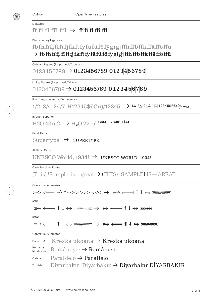

OpenType Features

Ligatures

### ff fi fl ffi ffl  $\rightarrow$  ff fi fl ffi ffl

Discretionary Ligatures

### fbfhfïfįfĭfĩfjfkftfyfäfüföfÿgigjffhffbffkffäfföffü  $\rightarrow$  fb fh fi fi fi fi fi fk ft fy fä fü fö fÿ gi gj ffh ffb ffk ffä ffö ffü

Oldstyle Figures (Proportinal, Tabellar)

### $0123456789 \rightarrow 0123456789 \, |0|1|2|3|4|5|6|7|8|9$

Lining Figures (Proportinal, Tabellar)

```
0123456789 \rightarrow 0123456789 \, 0123456789
```
Fractions, Numerator, Denominator

 $1/2$  3/4 24/7 H12345\$£€+()/12345  $\rightarrow$  1/2 3/4 24/7 H12345\$£€+()/12345

Inferior, Superior

 $H2O$  43 $m2$  →  $H_2O$  22 $m$ <sup>0123456789()£+\$£€</sup>

Small Caps

Süpertype! → Süpertype!

All Small Caps

#### UNESCO World, 1934!  $\rightarrow$  UNESCO WORLD, 1934!

Case Sensitive Forms

(This) !Sample; is—great  $\rightarrow$  (THIS) !SAMPLEI IS—GREAT

Contextual Alternates

>-> <----| -^ ^- <-> >>> <<< → >-> <----| -^ ^- <-> >>> <<<

ss01

```
\mathbb{R} \rightarrow \mathbb{R} \rightarrow \mathbb{R} \rightarrow \mathbb{R} \rightarrow \mathbb{R} \rightarrow \mathbb{R} \rightarrow \mathbb{R} \rightarrow \mathbb{R} \rightarrow \mathbb{R} \rightarrow \mathbb{R}
```
ss02

```
\Rightarrow \longleftrightarrow \uparrow \downarrow \leftrightarrow \Rightarrow \Rightarrow \leftarrow \Rightarrow \uparrow \downarrow \leftrightarrow \Rightarrow \bullet
```
Contextual Alternates

| $P_{\text{Olish:}}$ > Kreska ukośna $\rightarrow$ Kreska ukośna |
|-----------------------------------------------------------------|
| $R_{\text{Moldavian:}}$ Românește $\rightarrow$ Românește       |
| $Catalan:$ Paral·lelo $\rightarrow$ Paral·lelo                  |
| Turkish: Diyarbakır Diyarbakır → Diyarbakır DİYARBAKIR          |